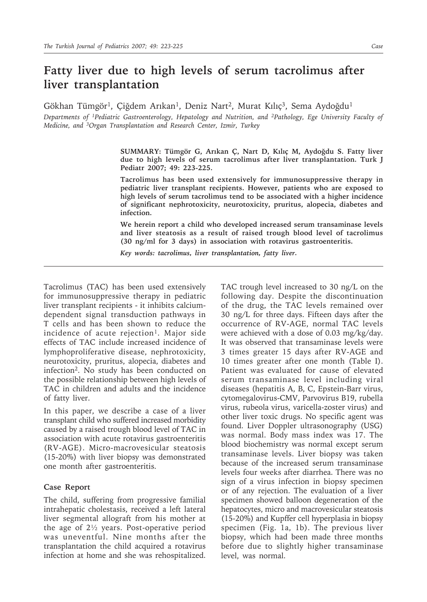## **Fatty liver due to high levels of serum tacrolimus after liver transplantation**

Gökhan Tümgör<sup>1</sup>, Çiğdem Arıkan<sup>1</sup>, Deniz Nart<sup>2</sup>, Murat Kılıç<sup>3</sup>, Sema Aydoğdu<sup>1</sup>

*Departments of 1Pediatric Gastroenterology, Hepatology and Nutrition, and 2Pathology, Ege University Faculty of Medicine, and 3Organ Transplantation and Research Center, Izmir, Turkey*

> **SUMMARY: Tümgör G, Arıkan Ç, Nart D, Kılıç M, Aydoğdu S. Fatty liver due to high levels of serum tacrolimus after liver transplantation. Turk J Pediatr 2007; 49: 223-225.**

> **Tacrolimus has been used extensively for immunosuppressive therapy in pediatric liver transplant recipients. However, patients who are exposed to high levels of serum tacrolimus tend to be associated with a higher incidence of significant nephrotoxicity, neurotoxicity, pruritus, alopecia, diabetes and infection.**

> **We herein report a child who developed increased serum transaminase levels and liver steatosis as a result of raised trough blood level of tacrolimus (30 ng/ml for 3 days) in association with rotavirus gastroenteritis.**

*Key words: tacrolimus, liver transplantation, fatty liver.*

Tacrolimus (TAC) has been used extensively for immunosuppressive therapy in pediatric liver transplant recipients - it inhibits calciumdependent signal transduction pathways in T cells and has been shown to reduce the incidence of acute rejection<sup>1</sup>. Major side effects of TAC include increased incidence of lymphoproliferative disease, nephrotoxicity, neurotoxicity, pruritus, alopecia, diabetes and infection2. No study has been conducted on the possible relationship between high levels of TAC in children and adults and the incidence of fatty liver.

In this paper, we describe a case of a liver transplant child who suffered increased morbidity caused by a raised trough blood level of TAC in association with acute rotavirus gastroenteritis (RV-AGE). Micro-macrovesicular steatosis (15-20%) with liver biopsy was demonstrated one month after gastroenteritis.

## **Case Report**

The child, suffering from progressive familial intrahepatic cholestasis, received a left lateral liver segmental allograft from his mother at the age of 2½ years. Post-operative period was uneventful. Nine months after the transplantation the child acquired a rotavirus infection at home and she was rehospitalized.

TAC trough level increased to 30 ng/L on the following day. Despite the discontinuation of the drug, the TAC levels remained over 30 ng/L for three days. Fifteen days after the occurrence of RV-AGE, normal TAC levels were achieved with a dose of 0.03 mg/kg/day. It was observed that transaminase levels were 3 times greater 15 days after RV-AGE and 10 times greater after one month (Table I). Patient was evaluated for cause of elevated serum transaminase level including viral diseases (hepatitis A, B, C, Epstein-Barr virus, cytomegalovirus-CMV, Parvovirus B19, rubella virus, rubeola virus, varicella-zoster virus) and other liver toxic drugs. No specific agent was found. Liver Doppler ultrasonography (USG) was normal. Body mass index was 17. The blood biochemistry was normal except serum transaminase levels. Liver biopsy was taken because of the increased serum transaminase levels four weeks after diarrhea. There was no sign of a virus infection in biopsy specimen or of any rejection. The evaluation of a liver specimen showed balloon degeneration of the hepatocytes, micro and macrovesicular steatosis (15-20%) and Kupffer cell hyperplasia in biopsy specimen (Fig. 1a, 1b). The previous liver biopsy, which had been made three months before due to slightly higher transaminase level, was normal.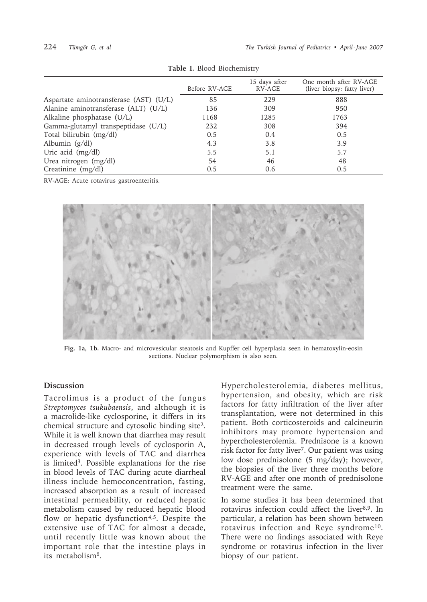|                                        | Before RV-AGE | 15 days after<br>RV-AGE | One month after RV-AGE<br>(liver biopsy: fatty liver) |
|----------------------------------------|---------------|-------------------------|-------------------------------------------------------|
| Aspartate aminotransferase (AST) (U/L) | 85            | 229                     | 888                                                   |
| Alanine aminotransferase (ALT) (U/L)   | 136           | 309                     | 950                                                   |
| Alkaline phosphatase (U/L)             | 1168          | 1285                    | 1763                                                  |
| Gamma-glutamyl transpeptidase (U/L)    | 232           | 308                     | 394                                                   |
| Total bilirubin (mg/dl)                | 0.5           | 0.4                     | 0.5                                                   |
| Albumin $(g/dl)$                       | 4.3           | 3.8                     | 3.9                                                   |
| Uric acid (mg/dl)                      | 5.5           | 5.1                     | 5.7                                                   |
| Urea nitrogen (mg/dl)                  | 54            | 46                      | 48                                                    |
| Creatinine (mg/dl)                     | 0.5           | 0.6                     | 0.5                                                   |

**Table I.** Blood Biochemistry

RV-AGE: Acute rotavirus gastroenteritis.



**Fig. 1a, 1b.** Macro- and microvesicular steatosis and Kupffer cell hyperplasia seen in hematoxylin-eosin sections. Nuclear polymorphism is also seen.

## **Discussion**

Tacrolimus is a product of the fungus *Streptomyces tsukubaensis*, and although it is a macrolide-like cyclosporine, it differs in its chemical structure and cytosolic binding site2. While it is well known that diarrhea may result in decreased trough levels of cyclosporin A, experience with levels of TAC and diarrhea is limited3. Possible explanations for the rise in blood levels of TAC during acute diarrheal illness include hemoconcentration, fasting, increased absorption as a result of increased intestinal permeability, or reduced hepatic metabolism caused by reduced hepatic blood flow or hepatic dysfunction<sup>4,5</sup>. Despite the extensive use of TAC for almost a decade, until recently little was known about the important role that the intestine plays in its metabolism6.

Hypercholesterolemia, diabetes mellitus, hypertension, and obesity, which are risk factors for fatty infiltration of the liver after transplantation, were not determined in this patient. Both corticosteroids and calcineurin inhibitors may promote hypertension and hypercholesterolemia. Prednisone is a known risk factor for fatty liver<sup>7</sup>. Our patient was using low dose prednisolone (5 mg/day); however, the biopsies of the liver three months before RV-AGE and after one month of prednisolone treatment were the same.

In some studies it has been determined that rotavirus infection could affect the liver8,9. In particular, a relation has been shown between rotavirus infection and Reye syndrome10. There were no findings associated with Reye syndrome or rotavirus infection in the liver biopsy of our patient.